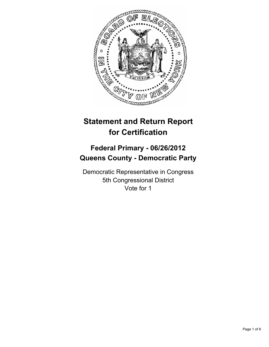

# **Statement and Return Report for Certification**

## **Federal Primary - 06/26/2012 Queens County - Democratic Party**

Democratic Representative in Congress 5th Congressional District Vote for 1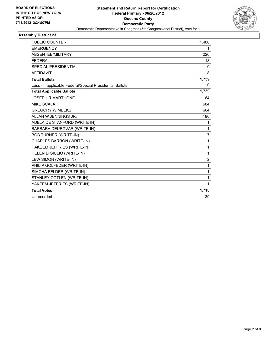

| <b>PUBLIC COUNTER</b>                                    | 1,486          |
|----------------------------------------------------------|----------------|
| <b>EMERGENCY</b>                                         | 1              |
| <b>ABSENTEE/MILITARY</b>                                 | 226            |
| <b>FEDERAL</b>                                           | 18             |
| SPECIAL PRESIDENTIAL                                     | $\mathbf{0}$   |
| <b>AFFIDAVIT</b>                                         | 8              |
| <b>Total Ballots</b>                                     | 1,739          |
| Less - Inapplicable Federal/Special Presidential Ballots | $\Omega$       |
| <b>Total Applicable Ballots</b>                          | 1,739          |
| <b>JOSEPH R MARTHONE</b>                                 | 164            |
| <b>MIKE SCALA</b>                                        | 684            |
| <b>GREGORY W MEEKS</b>                                   | 664            |
| ALLAN W JENNINGS JR.                                     | 180            |
| ADELAIDE STANFORD (WRITE-IN)                             | 1              |
| BARBARA DEUEGVAR (WRITE-IN)                              | $\mathbf{1}$   |
| <b>BOB TURNER (WRITE-IN)</b>                             | $\overline{7}$ |
| CHARLES BARRON (WRITE-IN)                                | 1              |
| HAKEEM JEFFRIES (WRITE-IN)                               | 1              |
| HELEN DIGIULIO (WRITE-IN)                                | $\mathbf{1}$   |
| LEW SIMON (WRITE-IN)                                     | 2              |
| PHILIP GOLFEDER (WRITE-IN)                               | $\mathbf{1}$   |
| SIMCHA FELDER (WRITE-IN)                                 | $\mathbf 1$    |
| STANLEY COTLEN (WRITE-IN)                                | $\mathbf{1}$   |
| YAKEEM JEFFRIES (WRITE-IN)                               | 1              |
| <b>Total Votes</b>                                       | 1,710          |
| Unrecorded                                               | 29             |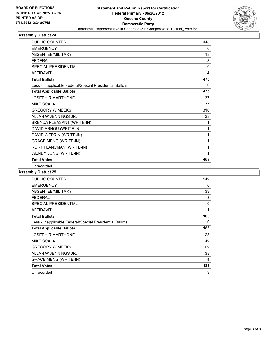

| <b>PUBLIC COUNTER</b>                                    | 448          |
|----------------------------------------------------------|--------------|
| <b>EMERGENCY</b>                                         | 0            |
| ABSENTEE/MILITARY                                        | 18           |
| <b>FFDFRAL</b>                                           | 3            |
| <b>SPECIAL PRESIDENTIAL</b>                              | $\mathbf{0}$ |
| <b>AFFIDAVIT</b>                                         | 4            |
| <b>Total Ballots</b>                                     | 473          |
| Less - Inapplicable Federal/Special Presidential Ballots | 0            |
| <b>Total Applicable Ballots</b>                          | 473          |
| <b>JOSEPH R MARTHONE</b>                                 | 37           |
| <b>MIKE SCALA</b>                                        | 77           |
| <b>GREGORY W MEEKS</b>                                   | 310          |
| ALLAN W JENNINGS JR.                                     | 38           |
| BRENDA PLEASANT (WRITE-IN)                               | 1            |
| DAVID ARNOU (WRITE-IN)                                   | 1            |
| DAVID WEPRIN (WRITE-IN)                                  | 1            |
| <b>GRACE MENG (WRITE-IN)</b>                             | 1            |
| RORY I LANCMAN (WRITE-IN)                                | 1            |
| WENDY LONG (WRITE-IN)                                    | 1            |
| <b>Total Votes</b>                                       | 468          |
| Unrecorded                                               | 5            |

| <b>PUBLIC COUNTER</b>                                    | 149 |
|----------------------------------------------------------|-----|
| <b>EMERGENCY</b>                                         | 0   |
| ABSENTEE/MILITARY                                        | 33  |
| <b>FEDERAL</b>                                           | 3   |
| <b>SPECIAL PRESIDENTIAL</b>                              | 0   |
| <b>AFFIDAVIT</b>                                         | 1   |
| <b>Total Ballots</b>                                     | 186 |
| Less - Inapplicable Federal/Special Presidential Ballots | 0   |
| <b>Total Applicable Ballots</b>                          | 186 |
| <b>JOSEPH R MARTHONE</b>                                 | 23  |
| <b>MIKE SCALA</b>                                        | 49  |
| <b>GREGORY W MEEKS</b>                                   | 69  |
| ALLAN W JENNINGS JR.                                     | 38  |
| <b>GRACE MENG (WRITE-IN)</b>                             | 4   |
| <b>Total Votes</b>                                       | 183 |
| Unrecorded                                               | 3   |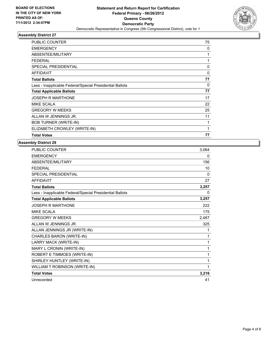

| <b>PUBLIC COUNTER</b>                                    | 75           |
|----------------------------------------------------------|--------------|
| <b>EMERGENCY</b>                                         | 0            |
| ABSENTEE/MILITARY                                        | 1            |
| <b>FEDERAL</b>                                           | 1            |
| <b>SPECIAL PRESIDENTIAL</b>                              | $\mathbf{0}$ |
| <b>AFFIDAVIT</b>                                         | $\Omega$     |
| <b>Total Ballots</b>                                     | 77           |
| Less - Inapplicable Federal/Special Presidential Ballots | $\Omega$     |
| <b>Total Applicable Ballots</b>                          | 77           |
| <b>JOSEPH R MARTHONE</b>                                 | 17           |
| <b>MIKE SCALA</b>                                        | 22           |
| <b>GREGORY W MEEKS</b>                                   | 25           |
| ALLAN W JENNINGS JR.                                     | 11           |
| <b>BOB TURNER (WRITE-IN)</b>                             | 1            |
| ELIZABETH CROWLEY (WRITE-IN)                             | 1            |
| <b>Total Votes</b>                                       | 77           |

| PUBLIC COUNTER                                           | 3,064 |
|----------------------------------------------------------|-------|
| <b>EMERGENCY</b>                                         | 0     |
| ABSENTEE/MILITARY                                        | 156   |
| <b>FEDERAL</b>                                           | 10    |
| <b>SPECIAL PRESIDENTIAL</b>                              | 0     |
| <b>AFFIDAVIT</b>                                         | 27    |
| <b>Total Ballots</b>                                     | 3,257 |
| Less - Inapplicable Federal/Special Presidential Ballots | 0     |
| <b>Total Applicable Ballots</b>                          | 3,257 |
| <b>JOSEPH R MARTHONE</b>                                 | 222   |
| <b>MIKE SCALA</b>                                        | 175   |
| <b>GREGORY W MEEKS</b>                                   | 2,487 |
| ALLAN W JENNINGS JR.                                     | 325   |
| ALLAN JENNINGS JR (WRITE-IN)                             | 1     |
| CHARLES BARON (WRITE-IN)                                 | 1     |
| LARRY MACK (WRITE-IN)                                    | 1     |
| MARY L CRONIN (WRITE-IN)                                 | 1     |
| ROBERT E TIMMOES (WRITE-IN)                              | 1     |
| SHIRLEY HUNTLEY (WRITE-IN)                               | 1     |
| WILLIAM T ROBINSON (WRITE-IN)                            | 1     |
| <b>Total Votes</b>                                       | 3,216 |
| Unrecorded                                               | 41    |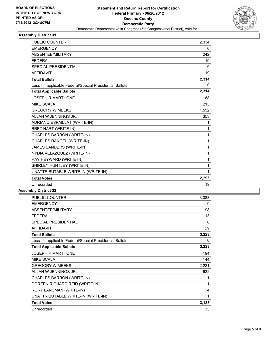

| <b>PUBLIC COUNTER</b>                                    | 2,034        |
|----------------------------------------------------------|--------------|
| <b>EMERGENCY</b>                                         | 0            |
| ABSENTEE/MILITARY                                        | 242          |
| <b>FEDERAL</b>                                           | 19           |
| <b>SPECIAL PRESIDENTIAL</b>                              | $\mathbf{0}$ |
| <b>AFFIDAVIT</b>                                         | 19           |
| <b>Total Ballots</b>                                     | 2,314        |
| Less - Inapplicable Federal/Special Presidential Ballots | $\Omega$     |
| <b>Total Applicable Ballots</b>                          | 2,314        |
| <b>JOSEPH R MARTHONE</b>                                 | 168          |
| <b>MIKE SCALA</b>                                        | 213          |
| <b>GREGORY W MEEKS</b>                                   | 1,552        |
| ALLAN W JENNINGS JR.                                     | 353          |
| ADRIANO ESPAILLAT (WRITE-IN)                             | 1            |
| BRET HART (WRITE-IN)                                     | 1            |
| CHARLES BARRON (WRITE-IN)                                | 1            |
| CHARLES RANGEL (WRITE-IN)                                | 1            |
| JAMES SANDERS (WRITE-IN)                                 | 1            |
| NYDIA VELAZQUEZ (WRITE-IN)                               | 1            |
| RAY HEYWARD (WRITE-IN)                                   | 1            |
| SHIRLEY HUNTLEY (WRITE-IN)                               | 1            |
| UNATTRIBUTABLE WRITE-IN (WRITE-IN)                       | 1            |
| <b>Total Votes</b>                                       | 2,295        |
| Unrecorded                                               | 19           |

| <b>PUBLIC COUNTER</b>                                    | 3,083    |
|----------------------------------------------------------|----------|
| <b>EMERGENCY</b>                                         | 0        |
| ABSENTEE/MILITARY                                        | 98       |
| <b>FEDERAL</b>                                           | 13       |
| SPECIAL PRESIDENTIAL                                     | 0        |
| <b>AFFIDAVIT</b>                                         | 29       |
| <b>Total Ballots</b>                                     | 3,223    |
| Less - Inapplicable Federal/Special Presidential Ballots | $\Omega$ |
| <b>Total Applicable Ballots</b>                          | 3,223    |
| JOSEPH R MARTHONE                                        | 194      |
| <b>MIKE SCALA</b>                                        | 144      |
| <b>GREGORY W MEEKS</b>                                   | 2,221    |
| ALLAN W JENNINGS JR.                                     | 622      |
| CHARLES BARRON (WRITE-IN)                                | 1        |
| DOREEN RICHARD REID (WRITE-IN)                           | 1        |
| RORY LANCMAN (WRITE-IN)                                  | 4        |
| UNATTRIBUTABLE WRITE-IN (WRITE-IN)                       | 1        |
| <b>Total Votes</b>                                       | 3,188    |
| Unrecorded                                               | 35       |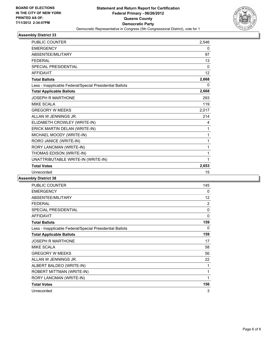

| <b>PUBLIC COUNTER</b>                                    | 2,546    |
|----------------------------------------------------------|----------|
| <b>EMERGENCY</b>                                         | 0        |
| ABSENTEE/MILITARY                                        | 97       |
| <b>FEDERAL</b>                                           | 13       |
| <b>SPECIAL PRESIDENTIAL</b>                              | $\Omega$ |
| <b>AFFIDAVIT</b>                                         | 12       |
| <b>Total Ballots</b>                                     | 2,668    |
| Less - Inapplicable Federal/Special Presidential Ballots | 0        |
| <b>Total Applicable Ballots</b>                          | 2,668    |
| <b>JOSEPH R MARTHONE</b>                                 | 293      |
| <b>MIKE SCALA</b>                                        | 119      |
| <b>GREGORY W MEEKS</b>                                   | 2,017    |
| ALLAN W JENNINGS JR.                                     | 214      |
| ELIZABETH CROWLEY (WRITE-IN)                             | 4        |
| ERICK MARTIN DELAN (WRITE-IN)                            | 1        |
| MICHAEL MOODY (WRITE-IN)                                 | 1        |
| RORO JANICE (WRITE-IN)                                   | 1        |
| RORY LANCMAN (WRITE-IN)                                  | 1        |
| THOMAS EDISON (WRITE-IN)                                 | 1        |
| UNATTRIBUTABLE WRITE-IN (WRITE-IN)                       | 1        |
| <b>Total Votes</b>                                       | 2,653    |
| Unrecorded                                               | 15       |

| <b>PUBLIC COUNTER</b>                                    | 145 |
|----------------------------------------------------------|-----|
| <b>EMERGENCY</b>                                         | 0   |
| ABSENTEE/MILITARY                                        | 12  |
| <b>FEDERAL</b>                                           | 2   |
| <b>SPECIAL PRESIDENTIAL</b>                              | 0   |
| <b>AFFIDAVIT</b>                                         | 0   |
| <b>Total Ballots</b>                                     | 159 |
| Less - Inapplicable Federal/Special Presidential Ballots | 0   |
| <b>Total Applicable Ballots</b>                          | 159 |
| <b>JOSEPH R MARTHONE</b>                                 | 17  |
| <b>MIKE SCALA</b>                                        | 58  |
| <b>GREGORY W MEEKS</b>                                   | 56  |
| ALLAN W JENNINGS JR.                                     | 22  |
| ALBERT BALDEO (WRITE-IN)                                 | 1   |
| ROBERT MITTMAN (WRITE-IN)                                | 1   |
| RORY LANCMAN (WRITE-IN)                                  | 1   |
| <b>Total Votes</b>                                       | 156 |
| Unrecorded                                               | 3   |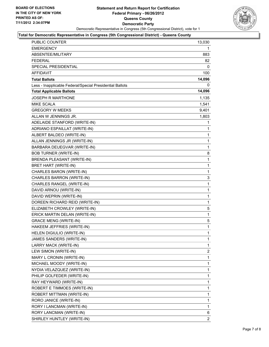

#### **Total for Democratic Representative in Congress (5th Congressional District) - Queens County**

| <b>PUBLIC COUNTER</b>                                    | 13,030         |
|----------------------------------------------------------|----------------|
| EMERGENCY                                                | 1              |
| ABSENTEE/MILITARY                                        | 883            |
| <b>FEDERAL</b>                                           | 82             |
| SPECIAL PRESIDENTIAL                                     | 0              |
| <b>AFFIDAVIT</b>                                         | 100            |
| <b>Total Ballots</b>                                     | 14,096         |
| Less - Inapplicable Federal/Special Presidential Ballots | 0              |
| <b>Total Applicable Ballots</b>                          | 14,096         |
| <b>JOSEPH R MARTHONE</b>                                 | 1,135          |
| <b>MIKE SCALA</b>                                        | 1,541          |
| <b>GREGORY W MEEKS</b>                                   | 9,401          |
| ALLAN W JENNINGS JR.                                     | 1,803          |
| ADELAIDE STANFORD (WRITE-IN)                             | 1              |
| ADRIANO ESPAILLAT (WRITE-IN)                             | 1              |
| ALBERT BALDEO (WRITE-IN)                                 | 1              |
| ALLAN JENNINGS JR (WRITE-IN)                             | 1              |
| BARBARA DEUEGVAR (WRITE-IN)                              | 1              |
| <b>BOB TURNER (WRITE-IN)</b>                             | 8              |
| BRENDA PLEASANT (WRITE-IN)                               | 1              |
| BRET HART (WRITE-IN)                                     | 1              |
| CHARLES BARON (WRITE-IN)                                 | $\mathbf{1}$   |
| CHARLES BARRON (WRITE-IN)                                | 3              |
| CHARLES RANGEL (WRITE-IN)                                | 1              |
| DAVID ARNOU (WRITE-IN)                                   | 1              |
| DAVID WEPRIN (WRITE-IN)                                  | 1              |
| DOREEN RICHARD REID (WRITE-IN)                           | 1              |
| ELIZABETH CROWLEY (WRITE-IN)                             | 5              |
| ERICK MARTIN DELAN (WRITE-IN)                            | 1              |
| <b>GRACE MENG (WRITE-IN)</b>                             | 5              |
| HAKEEM JEFFRIES (WRITE-IN)                               | $\mathbf{1}$   |
| HELEN DIGIULIO (WRITE-IN)                                | 1              |
| JAMES SANDERS (WRITE-IN)                                 | 1              |
| LARRY MACK (WRITE-IN)                                    | 1              |
| LEW SIMON (WRITE-IN)                                     | $\overline{2}$ |
| MARY L CRONIN (WRITE-IN)                                 | 1              |
| MICHAEL MOODY (WRITE-IN)                                 | 1              |
| NYDIA VELAZQUEZ (WRITE-IN)                               | 1              |
| PHILIP GOLFEDER (WRITE-IN)                               | 1              |
| RAY HEYWARD (WRITE-IN)                                   | 1              |
| ROBERT E TIMMOES (WRITE-IN)                              | 1              |
| ROBERT MITTMAN (WRITE-IN)                                | 1              |
| RORO JANICE (WRITE-IN)                                   | 1              |
| RORY I LANCMAN (WRITE-IN)                                | 1              |
| RORY LANCMAN (WRITE-IN)                                  | 6              |
| SHIRLEY HUNTLEY (WRITE-IN)                               | 2              |